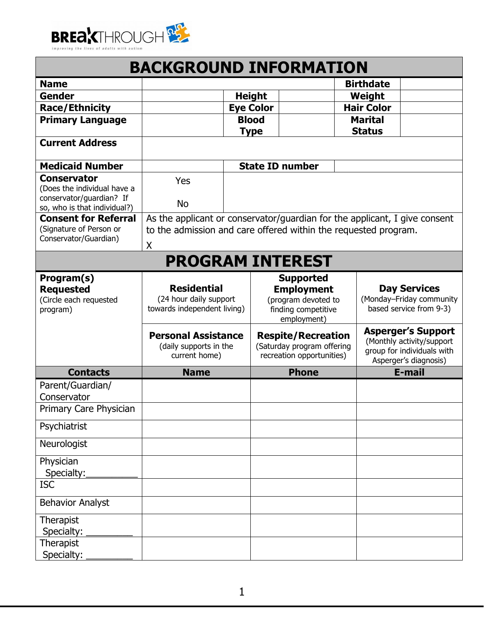

| <b>BACKGROUND INFORMATION</b>                                                   |                                                                                                                                                    |  |                  |                                                                                                    |                   |                                                                                                               |
|---------------------------------------------------------------------------------|----------------------------------------------------------------------------------------------------------------------------------------------------|--|------------------|----------------------------------------------------------------------------------------------------|-------------------|---------------------------------------------------------------------------------------------------------------|
| <b>Name</b>                                                                     |                                                                                                                                                    |  |                  |                                                                                                    | <b>Birthdate</b>  |                                                                                                               |
| <b>Gender</b>                                                                   |                                                                                                                                                    |  | <b>Height</b>    |                                                                                                    | Weight            |                                                                                                               |
| <b>Race/Ethnicity</b>                                                           |                                                                                                                                                    |  | <b>Eye Color</b> |                                                                                                    | <b>Hair Color</b> |                                                                                                               |
| <b>Primary Language</b>                                                         |                                                                                                                                                    |  | <b>Blood</b>     |                                                                                                    | <b>Marital</b>    |                                                                                                               |
|                                                                                 |                                                                                                                                                    |  | <b>Type</b>      |                                                                                                    | <b>Status</b>     |                                                                                                               |
| <b>Current Address</b>                                                          |                                                                                                                                                    |  |                  |                                                                                                    |                   |                                                                                                               |
| <b>Medicaid Number</b>                                                          |                                                                                                                                                    |  |                  | <b>State ID number</b>                                                                             |                   |                                                                                                               |
| <b>Conservator</b><br>(Does the individual have a                               | Yes                                                                                                                                                |  |                  |                                                                                                    |                   |                                                                                                               |
| conservator/guardian? If<br>so, who is that individual?)                        | <b>No</b>                                                                                                                                          |  |                  |                                                                                                    |                   |                                                                                                               |
| <b>Consent for Referral</b><br>(Signature of Person or<br>Conservator/Guardian) | As the applicant or conservator/guardian for the applicant, I give consent<br>to the admission and care offered within the requested program.<br>Χ |  |                  |                                                                                                    |                   |                                                                                                               |
|                                                                                 | <b>PROGRAM INTEREST</b>                                                                                                                            |  |                  |                                                                                                    |                   |                                                                                                               |
| Program(s)<br><b>Requested</b><br>(Circle each requested<br>program)            | <b>Residential</b><br>(24 hour daily support<br>towards independent living)                                                                        |  |                  | <b>Supported</b><br><b>Employment</b><br>(program devoted to<br>finding competitive<br>employment) |                   | <b>Day Services</b><br>(Monday-Friday community<br>based service from 9-3)                                    |
|                                                                                 | <b>Personal Assistance</b><br>(daily supports in the<br>current home)                                                                              |  |                  | <b>Respite/Recreation</b><br>(Saturday program offering<br>recreation opportunities)               |                   | <b>Asperger's Support</b><br>(Monthly activity/support<br>group for individuals with<br>Asperger's diagnosis) |
| <b>Contacts</b>                                                                 | <b>Name</b>                                                                                                                                        |  |                  | <b>Phone</b>                                                                                       |                   | E-mail                                                                                                        |
| Parent/Guardian/<br>Conservator                                                 |                                                                                                                                                    |  |                  |                                                                                                    |                   |                                                                                                               |
| Primary Care Physician                                                          |                                                                                                                                                    |  |                  |                                                                                                    |                   |                                                                                                               |
| Psychiatrist                                                                    |                                                                                                                                                    |  |                  |                                                                                                    |                   |                                                                                                               |
| Neurologist                                                                     |                                                                                                                                                    |  |                  |                                                                                                    |                   |                                                                                                               |
| Physician<br>Specialty:                                                         |                                                                                                                                                    |  |                  |                                                                                                    |                   |                                                                                                               |
| <b>ISC</b>                                                                      |                                                                                                                                                    |  |                  |                                                                                                    |                   |                                                                                                               |
| <b>Behavior Analyst</b>                                                         |                                                                                                                                                    |  |                  |                                                                                                    |                   |                                                                                                               |
| Therapist<br>Specialty:                                                         |                                                                                                                                                    |  |                  |                                                                                                    |                   |                                                                                                               |
| Therapist<br>Specialty:                                                         |                                                                                                                                                    |  |                  |                                                                                                    |                   |                                                                                                               |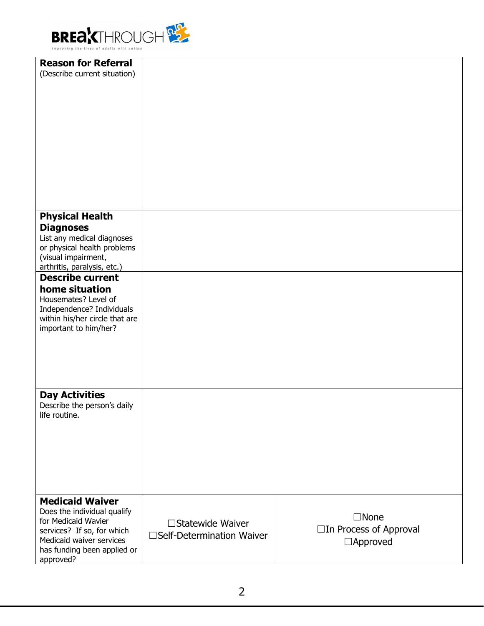

| <b>Reason for Referral</b><br>(Describe current situation) |                            |                                        |
|------------------------------------------------------------|----------------------------|----------------------------------------|
|                                                            |                            |                                        |
|                                                            |                            |                                        |
|                                                            |                            |                                        |
|                                                            |                            |                                        |
|                                                            |                            |                                        |
|                                                            |                            |                                        |
|                                                            |                            |                                        |
|                                                            |                            |                                        |
|                                                            |                            |                                        |
| <b>Physical Health</b><br><b>Diagnoses</b>                 |                            |                                        |
| List any medical diagnoses                                 |                            |                                        |
| or physical health problems<br>(visual impairment,         |                            |                                        |
| arthritis, paralysis, etc.)<br><b>Describe current</b>     |                            |                                        |
| home situation                                             |                            |                                        |
| Housemates? Level of<br>Independence? Individuals          |                            |                                        |
| within his/her circle that are                             |                            |                                        |
| important to him/her?                                      |                            |                                        |
|                                                            |                            |                                        |
|                                                            |                            |                                        |
|                                                            |                            |                                        |
| <b>Day Activities</b>                                      |                            |                                        |
| Describe the person's daily<br>life routine.               |                            |                                        |
|                                                            |                            |                                        |
|                                                            |                            |                                        |
|                                                            |                            |                                        |
|                                                            |                            |                                        |
|                                                            |                            |                                        |
| <b>Medicaid Waiver</b><br>Does the individual qualify      |                            |                                        |
| for Medicaid Wavier                                        | □Statewide Waiver          | $\Box$ None<br>□In Process of Approval |
| services? If so, for which<br>Medicaid waiver services     | □Self-Determination Waiver | $\Box$ Approved                        |
| has funding been applied or<br>approved?                   |                            |                                        |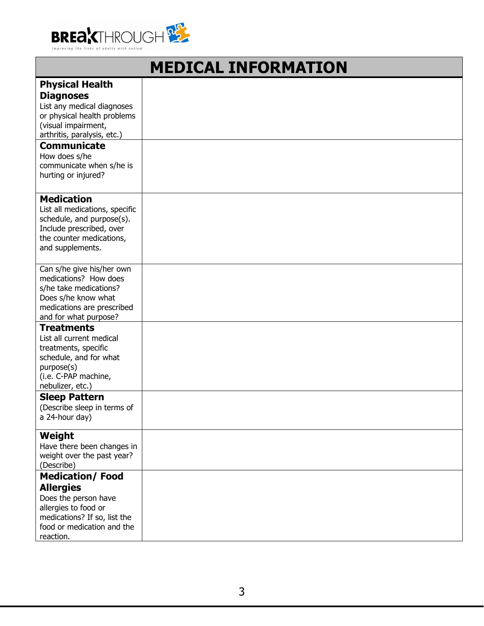

| <b>MEDICAL INFORMATION</b>                                                                                                                                                                                                                              |  |  |
|---------------------------------------------------------------------------------------------------------------------------------------------------------------------------------------------------------------------------------------------------------|--|--|
| <b>Physical Health</b><br><b>Diagnoses</b><br>List any medical diagnoses<br>or physical health problems<br>(visual impairment,<br>arthritis, paralysis, etc.)<br><b>Communicate</b><br>How does s/he<br>communicate when s/he is<br>hurting or injured? |  |  |
| <b>Medication</b><br>List all medications, specific<br>schedule, and purpose(s).<br>Include prescribed, over<br>the counter medications,<br>and supplements.                                                                                            |  |  |
| Can s/he give his/her own<br>medications? How does<br>s/he take medications?<br>Does s/he know what<br>medications are prescribed<br>and for what purpose?                                                                                              |  |  |
| <b>Treatments</b><br>List all current medical<br>treatments, specific<br>schedule, and for what<br>purpose(s)<br>(i.e. C-PAP machine,<br>nebulizer, etc.)                                                                                               |  |  |
| <b>Sleep Pattern</b><br>(Describe sleep in terms of<br>a 24-hour day)                                                                                                                                                                                   |  |  |
| Weight<br>Have there been changes in<br>weight over the past year?<br>(Describe)                                                                                                                                                                        |  |  |
| <b>Medication/Food</b><br><b>Allergies</b><br>Does the person have<br>allergies to food or<br>medications? If so, list the<br>food or medication and the<br>reaction.                                                                                   |  |  |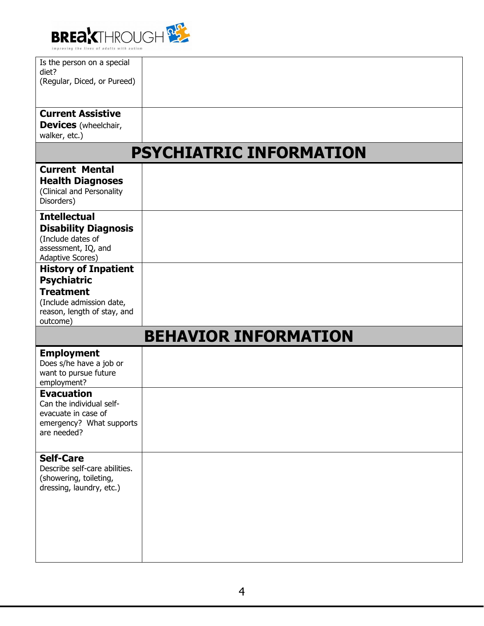

| Is the person on a special    |                                |
|-------------------------------|--------------------------------|
| diet?                         |                                |
| (Regular, Diced, or Pureed)   |                                |
|                               |                                |
|                               |                                |
| <b>Current Assistive</b>      |                                |
| <b>Devices</b> (wheelchair,   |                                |
|                               |                                |
| walker, etc.)                 |                                |
|                               | <b>PSYCHIATRIC INFORMATION</b> |
| <b>Current Mental</b>         |                                |
| <b>Health Diagnoses</b>       |                                |
| (Clinical and Personality     |                                |
| Disorders)                    |                                |
|                               |                                |
| <b>Intellectual</b>           |                                |
| <b>Disability Diagnosis</b>   |                                |
| (Include dates of             |                                |
| assessment, IQ, and           |                                |
| Adaptive Scores)              |                                |
| <b>History of Inpatient</b>   |                                |
|                               |                                |
| <b>Psychiatric</b>            |                                |
| <b>Treatment</b>              |                                |
| (Include admission date,      |                                |
| reason, length of stay, and   |                                |
| outcome)                      |                                |
|                               | <b>BEHAVIOR INFORMATION</b>    |
| <b>Employment</b>             |                                |
| Does s/he have a job or       |                                |
| want to pursue future         |                                |
| employment?                   |                                |
|                               |                                |
| <b>Evacuation</b>             |                                |
| Can the individual self-      |                                |
| evacuate in case of           |                                |
| emergency? What supports      |                                |
| are needed?                   |                                |
|                               |                                |
| <b>Self-Care</b>              |                                |
| Describe self-care abilities. |                                |
| (showering, toileting,        |                                |
| dressing, laundry, etc.)      |                                |
|                               |                                |
|                               |                                |
|                               |                                |
|                               |                                |
|                               |                                |
|                               |                                |
|                               |                                |
|                               |                                |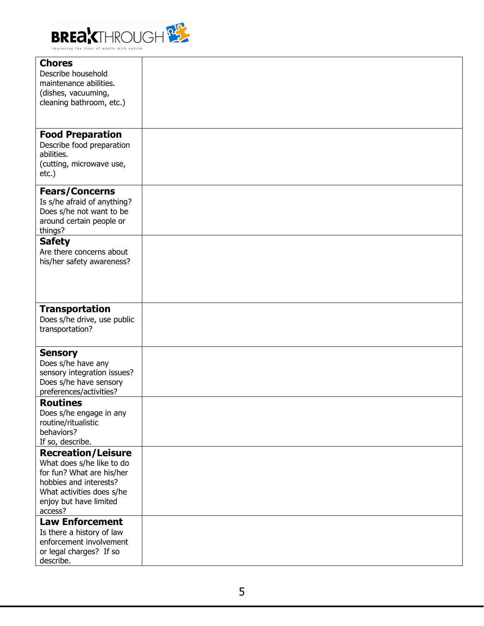

| <b>Chores</b>               |  |
|-----------------------------|--|
| Describe household          |  |
|                             |  |
| maintenance abilities.      |  |
| (dishes, vacuuming,         |  |
| cleaning bathroom, etc.)    |  |
|                             |  |
|                             |  |
|                             |  |
| <b>Food Preparation</b>     |  |
| Describe food preparation   |  |
|                             |  |
| abilities.                  |  |
| (cutting, microwave use,    |  |
| $etc.$ )                    |  |
|                             |  |
| <b>Fears/Concerns</b>       |  |
|                             |  |
| Is s/he afraid of anything? |  |
| Does s/he not want to be    |  |
| around certain people or    |  |
| things?                     |  |
| <b>Safety</b>               |  |
|                             |  |
| Are there concerns about    |  |
| his/her safety awareness?   |  |
|                             |  |
|                             |  |
|                             |  |
|                             |  |
|                             |  |
| <b>Transportation</b>       |  |
| Does s/he drive, use public |  |
| transportation?             |  |
|                             |  |
|                             |  |
| <b>Sensory</b>              |  |
| Does s/he have any          |  |
|                             |  |
| sensory integration issues? |  |
| Does s/he have sensory      |  |
| preferences/activities?     |  |
| <b>Routines</b>             |  |
| Does s/he engage in any     |  |
|                             |  |
| routine/ritualistic         |  |
| behaviors?                  |  |
| If so, describe.            |  |
| <b>Recreation/Leisure</b>   |  |
| What does s/he like to do   |  |
|                             |  |
| for fun? What are his/her   |  |
| hobbies and interests?      |  |
| What activities does s/he   |  |
| enjoy but have limited      |  |
| access?                     |  |
|                             |  |
| <b>Law Enforcement</b>      |  |
| Is there a history of law   |  |
| enforcement involvement     |  |
| or legal charges? If so     |  |
| describe.                   |  |
|                             |  |